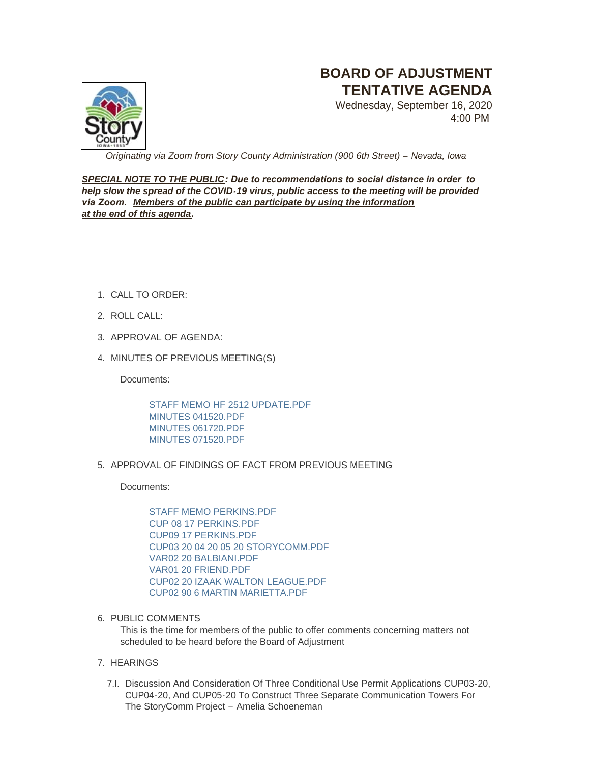

# **BOARD OF ADJUSTMENT TENTATIVE AGENDA**

Wednesday, September 16, 2020 4:00 PM

*Originating via Zoom from Story County Administration (900 6th Street) – Nevada, Iowa*

*SPECIAL NOTE TO THE PUBLIC: Due to recommendations to social distance in order to help slow the spread of the COVID-19 virus, public access to the meeting will be provided via Zoom. Members of the public can participate by using the information at the end of this agenda.*

- CALL TO ORDER: 1.
- 2. ROLL CALL:
- 3. APPROVAL OF AGENDA:
- 4. MINUTES OF PREVIOUS MEETING(S)

Documents:

[STAFF MEMO HF 2512 UPDATE.PDF](http://www.storycountyiowa.gov/AgendaCenter/ViewFile/Item/18982?fileID=14440) [MINUTES 041520.PDF](http://www.storycountyiowa.gov/AgendaCenter/ViewFile/Item/18982?fileID=14376) [MINUTES 061720.PDF](http://www.storycountyiowa.gov/AgendaCenter/ViewFile/Item/18982?fileID=14377) [MINUTES 071520.PDF](http://www.storycountyiowa.gov/AgendaCenter/ViewFile/Item/18982?fileID=14378)

5. APPROVAL OF FINDINGS OF FACT FROM PREVIOUS MEETING

Documents:

[STAFF MEMO PERKINS.PDF](http://www.storycountyiowa.gov/AgendaCenter/ViewFile/Item/18989?fileID=14439) [CUP 08 17 PERKINS.PDF](http://www.storycountyiowa.gov/AgendaCenter/ViewFile/Item/18989?fileID=14403) [CUP09 17 PERKINS.PDF](http://www.storycountyiowa.gov/AgendaCenter/ViewFile/Item/18989?fileID=14404) [CUP03 20 04 20 05 20 STORYCOMM.PDF](http://www.storycountyiowa.gov/AgendaCenter/ViewFile/Item/18989?fileID=14409) [VAR02 20 BALBIANI.PDF](http://www.storycountyiowa.gov/AgendaCenter/ViewFile/Item/18989?fileID=14406) [VAR01 20 FRIEND.PDF](http://www.storycountyiowa.gov/AgendaCenter/ViewFile/Item/18989?fileID=14405) [CUP02 20 IZAAK WALTON LEAGUE.PDF](http://www.storycountyiowa.gov/AgendaCenter/ViewFile/Item/18989?fileID=14407) [CUP02 90 6 MARTIN MARIETTA.PDF](http://www.storycountyiowa.gov/AgendaCenter/ViewFile/Item/18989?fileID=14408)

6. PUBLIC COMMENTS

This is the time for members of the public to offer comments concerning matters not scheduled to be heard before the Board of Adjustment

# 7. HEARINGS

7.I. Discussion And Consideration Of Three Conditional Use Permit Applications CUP03-20, CUP04-20, And CUP05-20 To Construct Three Separate Communication Towers For The StoryComm Project – Amelia Schoeneman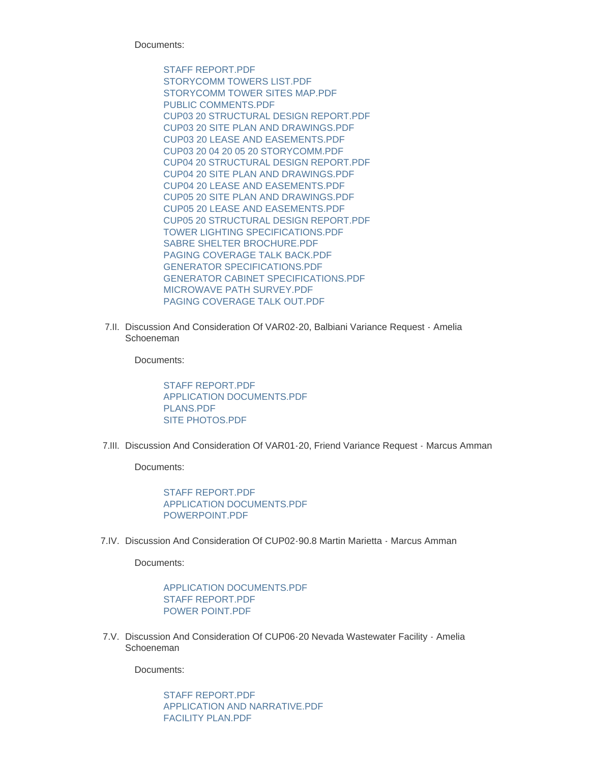Documents:

[STAFF REPORT.PDF](http://www.storycountyiowa.gov/AgendaCenter/ViewFile/Item/18992?fileID=14411) [STORYCOMM TOWERS LIST.PDF](http://www.storycountyiowa.gov/AgendaCenter/ViewFile/Item/18992?fileID=14413) [STORYCOMM TOWER SITES MAP.PDF](http://www.storycountyiowa.gov/AgendaCenter/ViewFile/Item/18992?fileID=14414) [PUBLIC COMMENTS.PDF](http://www.storycountyiowa.gov/AgendaCenter/ViewFile/Item/18992?fileID=14416) [CUP03 20 STRUCTURAL DESIGN REPORT.PDF](http://www.storycountyiowa.gov/AgendaCenter/ViewFile/Item/18992?fileID=14428) [CUP03 20 SITE PLAN AND DRAWINGS.PDF](http://www.storycountyiowa.gov/AgendaCenter/ViewFile/Item/18992?fileID=14429) [CUP03 20 LEASE AND EASEMENTS.PDF](http://www.storycountyiowa.gov/AgendaCenter/ViewFile/Item/18992?fileID=14430) [CUP03 20 04 20 05 20 STORYCOMM.PDF](http://www.storycountyiowa.gov/AgendaCenter/ViewFile/Item/18992?fileID=14431) [CUP04 20 STRUCTURAL DESIGN REPORT.PDF](http://www.storycountyiowa.gov/AgendaCenter/ViewFile/Item/18992?fileID=14425) [CUP04 20 SITE PLAN AND DRAWINGS.PDF](http://www.storycountyiowa.gov/AgendaCenter/ViewFile/Item/18992?fileID=14426) [CUP04 20 LEASE AND EASEMENTS.PDF](http://www.storycountyiowa.gov/AgendaCenter/ViewFile/Item/18992?fileID=14427) [CUP05 20 SITE PLAN AND DRAWINGS.PDF](http://www.storycountyiowa.gov/AgendaCenter/ViewFile/Item/18992?fileID=14423) [CUP05 20 LEASE AND EASEMENTS.PDF](http://www.storycountyiowa.gov/AgendaCenter/ViewFile/Item/18992?fileID=14424) [CUP05 20 STRUCTURAL DESIGN REPORT.PDF](http://www.storycountyiowa.gov/AgendaCenter/ViewFile/Item/18992?fileID=14422) [TOWER LIGHTING SPECIFICATIONS.PDF](http://www.storycountyiowa.gov/AgendaCenter/ViewFile/Item/18992?fileID=14412) [SABRE SHELTER BROCHURE.PDF](http://www.storycountyiowa.gov/AgendaCenter/ViewFile/Item/18992?fileID=14415) [PAGING COVERAGE TALK BACK.PDF](http://www.storycountyiowa.gov/AgendaCenter/ViewFile/Item/18992?fileID=14418) [GENERATOR SPECIFICATIONS.PDF](http://www.storycountyiowa.gov/AgendaCenter/ViewFile/Item/18992?fileID=14420) [GENERATOR CABINET SPECIFICATIONS.PDF](http://www.storycountyiowa.gov/AgendaCenter/ViewFile/Item/18992?fileID=14421) [MICROWAVE PATH SURVEY.PDF](http://www.storycountyiowa.gov/AgendaCenter/ViewFile/Item/18992?fileID=14419) [PAGING COVERAGE TALK OUT.PDF](http://www.storycountyiowa.gov/AgendaCenter/ViewFile/Item/18992?fileID=14417)

7.II. Discussion And Consideration Of VAR02-20, Balbiani Variance Request - Amelia Schoeneman

Documents:

STAFF REPORT PDF [APPLICATION DOCUMENTS.PDF](http://www.storycountyiowa.gov/AgendaCenter/ViewFile/Item/18994?fileID=14436) [PLANS.PDF](http://www.storycountyiowa.gov/AgendaCenter/ViewFile/Item/18994?fileID=14437) [SITE PHOTOS.PDF](http://www.storycountyiowa.gov/AgendaCenter/ViewFile/Item/18994?fileID=14438)

7.III. Discussion And Consideration Of VAR01-20, Friend Variance Request - Marcus Amman

Documents:

STAFF REPORT PDF [APPLICATION DOCUMENTS.PDF](http://www.storycountyiowa.gov/AgendaCenter/ViewFile/Item/18993?fileID=14433) [POWERPOINT.PDF](http://www.storycountyiowa.gov/AgendaCenter/ViewFile/Item/18993?fileID=14434)

7.IV. Discussion And Consideration Of CUP02-90.8 Martin Marietta - Marcus Amman

Documents:

[APPLICATION DOCUMENTS.PDF](http://www.storycountyiowa.gov/AgendaCenter/ViewFile/Item/18986?fileID=14389) [STAFF REPORT.PDF](http://www.storycountyiowa.gov/AgendaCenter/ViewFile/Item/18986?fileID=14390) [POWER POINT.PDF](http://www.storycountyiowa.gov/AgendaCenter/ViewFile/Item/18986?fileID=14391)

7.V. Discussion And Consideration Of CUP06-20 Nevada Wastewater Facility - Amelia Schoeneman

Documents:

[STAFF REPORT.PDF](http://www.storycountyiowa.gov/AgendaCenter/ViewFile/Item/18987?fileID=14392) [APPLICATION AND NARRATIVE.PDF](http://www.storycountyiowa.gov/AgendaCenter/ViewFile/Item/18987?fileID=14393) [FACILITY PLAN.PDF](http://www.storycountyiowa.gov/AgendaCenter/ViewFile/Item/18987?fileID=14394)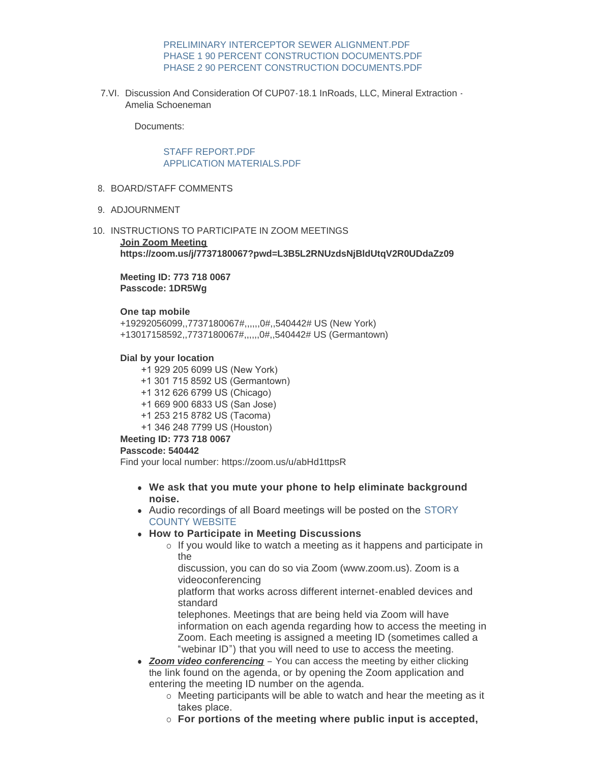## [PRELIMINARY INTERCEPTOR SEWER ALIGNMENT.PDF](http://www.storycountyiowa.gov/AgendaCenter/ViewFile/Item/18987?fileID=14399) [PHASE 1 90 PERCENT CONSTRUCTION DOCUMENTS.PDF](http://www.storycountyiowa.gov/AgendaCenter/ViewFile/Item/18987?fileID=14398) [PHASE 2 90 PERCENT CONSTRUCTION DOCUMENTS.PDF](http://www.storycountyiowa.gov/AgendaCenter/ViewFile/Item/18987?fileID=14395)

7.VI. Discussion And Consideration Of CUP07-18.1 InRoads, LLC, Mineral Extraction -Amelia Schoeneman

Documents:

## STAFF REPORT PDF [APPLICATION MATERIALS.PDF](http://www.storycountyiowa.gov/AgendaCenter/ViewFile/Item/18988?fileID=14401)

- 8. BOARD/STAFF COMMENTS
- 9. ADJOURNMENT
- 10. INSTRUCTIONS TO PARTICIPATE IN ZOOM MEETINGS **Join Zoom Meeting**

**https://zoom.us/j/7737180067?pwd=L3B5L2RNUzdsNjBldUtqV2R0UDdaZz09**

**Meeting ID: 773 718 0067 Passcode: 1DR5Wg**

#### **One tap mobile**

+19292056099,,7737180067#,,,,,,0#,,540442# US (New York) +13017158592,,7737180067#,,,,,,0#,,540442# US (Germantown)

## **Dial by your location**

- +1 929 205 6099 US (New York)
- +1 301 715 8592 US (Germantown)
- +1 312 626 6799 US (Chicago)
- +1 669 900 6833 US (San Jose)
- +1 253 215 8782 US (Tacoma)
- +1 346 248 7799 US (Houston)

## **Meeting ID: 773 718 0067**

#### **Passcode: 540442**

Find your local number: https://zoom.us/u/abHd1ttpsR

- **We ask that you mute your phone to help eliminate background noise.**
- Audio recordings of all Board meetings will be posted on the STORY COUNTY WEBSITE
- **How to Participate in Meeting Discussions** 
	- $\circ$  If you would like to watch a meeting as it happens and participate in the

discussion, you can do so via Zoom (www.zoom.us). Zoom is a videoconferencing

platform that works across different internet-enabled devices and standard

telephones. Meetings that are being held via Zoom will have information on each agenda regarding how to access the meeting in Zoom. Each meeting is assigned a meeting ID (sometimes called a "webinar ID") that you will need to use to access the meeting.

- **Zoom video conferencing** You can access the meeting by either clicking the link found on the agenda, or by opening the Zoom application and entering the meeting ID number on the agenda.
	- o Meeting participants will be able to watch and hear the meeting as it takes place.
	- ¡ **For portions of the meeting where public input is accepted,**